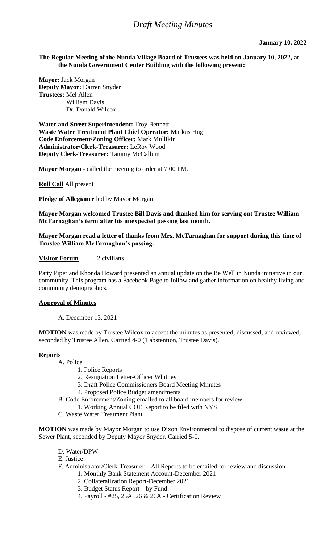## **The Regular Meeting of the Nunda Village Board of Trustees was held on January 10, 2022, at the Nunda Government Center Building with the following present:**

**Mayor:** Jack Morgan **Deputy Mayor:** Darren Snyder **Trustees:** Mel Allen William Davis Dr. Donald Wilcox

**Water and Street Superintendent:** Troy Bennett **Waste Water Treatment Plant Chief Operator:** Markus Hugi **Code Enforcement/Zoning Officer:** Mark Mullikin **Administrator/Clerk-Treasurer:** LeRoy Wood **Deputy Clerk-Treasurer:** Tammy McCallum

**Mayor Morgan -** called the meeting to order at 7:00 PM.

**Roll Call** All present

**Pledge of Allegiance** led by Mayor Morgan

**Mayor Morgan welcomed Trustee Bill Davis and thanked him for serving out Trustee William McTarnaghan's term after his unexpected passing last month.**

**Mayor Morgan read a letter of thanks from Mrs. McTarnaghan for support during this time of Trustee William McTarnaghan's passing.** 

**Visitor Forum** 2 civilians

Patty Piper and Rhonda Howard presented an annual update on the Be Well in Nunda initiative in our community. This program has a Facebook Page to follow and gather information on healthy living and community demographics.

# **Approval of Minutes**

A. December 13, 2021

**MOTION** was made by Trustee Wilcox to accept the minutes as presented, discussed, and reviewed, seconded by Trustee Allen. Carried 4-0 (1 abstention, Trustee Davis).

#### **Reports**

A. Police

- 1. Police Reports
- 2. Resignation Letter-Officer Whitney
- 3. Draft Police Commissioners Board Meeting Minutes
- 4. Proposed Police Budget amendments
- B. Code Enforcement/Zoning-emailed to all board members for review
	- 1. Working Annual COE Report to be filed with NYS
- C. Waste Water Treatment Plant

**MOTION** was made by Mayor Morgan to use Dixon Environmental to dispose of current waste at the Sewer Plant, seconded by Deputy Mayor Snyder. Carried 5-0.

- D. Water/DPW
- E. Justice
- F. Administrator/Clerk-Treasurer All Reports to be emailed for review and discussion
	- 1. Monthly Bank Statement Account-December 2021
	- 2. Collateralization Report-December 2021
	- 3. Budget Status Report by Fund
	- 4. Payroll #25, 25A, 26 & 26A Certification Review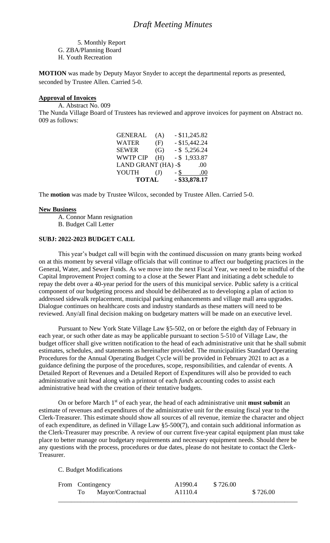5. Monthly Report G. ZBA/Planning Board H. Youth Recreation

**MOTION** was made by Deputy Mayor Snyder to accept the departmental reports as presented, seconded by Trustee Allen. Carried 5-0.

# **Approval of Invoices**

A. Abstract No. 009

The Nunda Village Board of Trustees has reviewed and approve invoices for payment on Abstract no. 009 as follows:

|              |              | $-$ \$33,878.17     |
|--------------|--------------|---------------------|
| $\mathrm{J}$ | - \$         | .00.                |
|              |              | .00                 |
| (H)          |              | $-$ \$ 1,933.87     |
| (G)          |              | $-$ \$ 5,256.24     |
| (F)          |              | $-$ \$15,442.24     |
| (A)          |              | $-$ \$11,245.82     |
|              | <b>TOTAL</b> | LAND GRANT (HA) -\$ |

The **motion** was made by Trustee Wilcox, seconded by Trustee Allen. Carried 5-0.

#### **New Business**

A. Connor Mann resignation

B. Budget Call Letter

# **SUBJ: 2022-2023 BUDGET CALL**

This year's budget call will begin with the continued discussion on many grants being worked on at this moment by several village officials that will continue to affect our budgeting practices in the General, Water, and Sewer Funds. As we move into the next Fiscal Year, we need to be mindful of the Capital Improvement Project coming to a close at the Sewer Plant and initiating a debt schedule to repay the debt over a 40-year period for the users of this municipal service. Public safety is a critical component of our budgeting process and should be deliberated as to developing a plan of action to addressed sidewalk replacement, municipal parking enhancements and village mall area upgrades. Dialogue continues on healthcare costs and industry standards as these matters will need to be reviewed. Any/all final decision making on budgetary matters will be made on an executive level.

Pursuant to New York State Village Law §5-502, on or before the eighth day of February in each year, or such other date as may be applicable pursuant to section 5-510 of Village Law, the budget officer shall give written notification to the head of each administrative unit that he shall submit estimates, schedules, and statements as hereinafter provided. The municipalities Standard Operating Procedures for the Annual Operating Budget Cycle will be provided in February 2021 to act as a guidance defining the purpose of the procedures, scope, responsibilities, and calendar of events. A Detailed Report of Revenues and a Detailed Report of Expenditures will also be provided to each administrative unit head along with a printout of each *funds* accounting codes to assist each administrative head with the creation of their tentative budgets.

On or before March 1st of each year, the head of each administrative unit **must submit** an estimate of revenues and expenditures of the administrative unit for the ensuing fiscal year to the Clerk-Treasurer. This estimate should show all sources of all revenue, itemize the character and object of each expenditure, as defined in Village Law §5-500(7), and contain such additional information as the Clerk-Treasurer may prescribe. A review of our current five-year capital equipment plan must take place to better manage our budgetary requirements and necessary equipment needs. Should there be any questions with the process, procedures or due dates, please do not hesitate to contact the Clerk-Treasurer.

C. Budget Modifications

|  | From Contingency  | A <sub>1990.4</sub> | \$726.00 |          |
|--|-------------------|---------------------|----------|----------|
|  | Mayor/Contractual | A <sub>1110.4</sub> |          | \$726.00 |
|  |                   |                     |          |          |